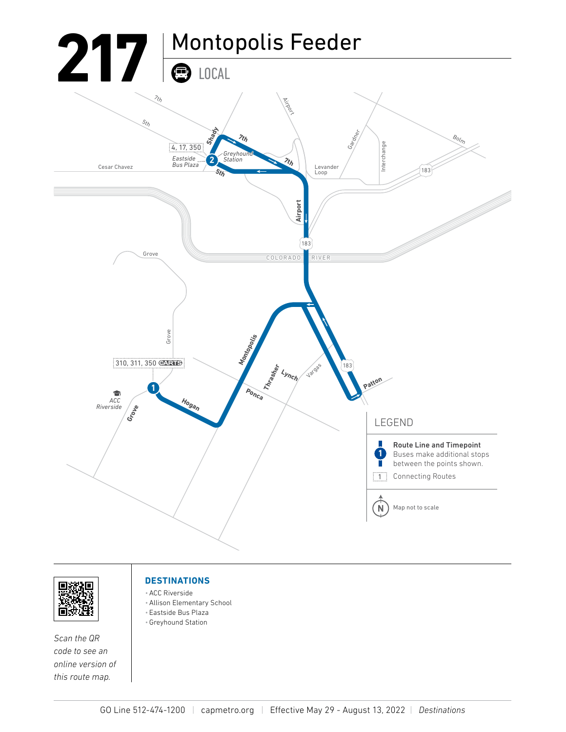



*Scan the QR code to see an online version of this route map.*

#### **DESTINATIONS**

- •ACC Riverside
- •Allison Elementary School
- Eastside Bus Plaza
- •Greyhound Station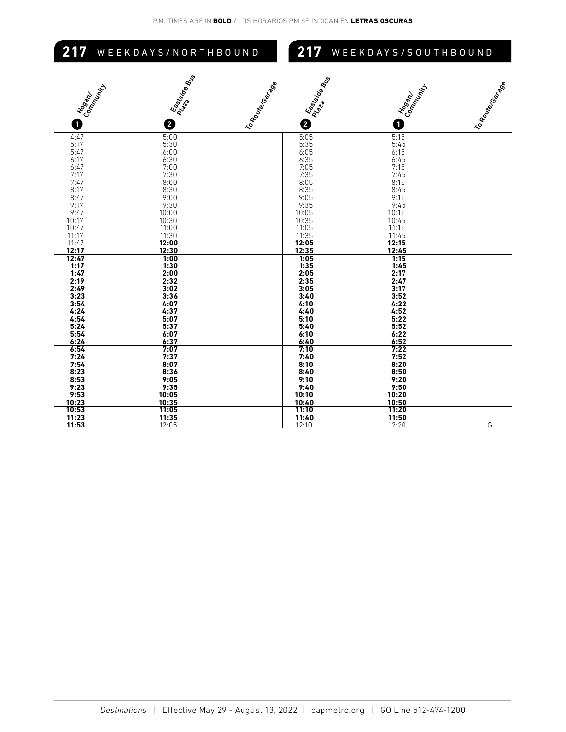## 217 WEEKDAYS/NORTHBOUND

### **217** WEEKDAYS/SOUTHBOUND

| Eastaire<br>Placa de Bus<br>I Hogany<br>Connent Virity<br>O<br>0 | I East side Bus<br>I to Route Control<br>0 | Congany<br>0        | I to Route Goinge |
|------------------------------------------------------------------|--------------------------------------------|---------------------|-------------------|
|                                                                  |                                            |                     |                   |
| 4:47<br>5:00                                                     | $\frac{5:05}{5:35}$                        | 5:15                |                   |
| 5:17<br>5:30                                                     |                                            | 5:45                |                   |
| 5:47<br>$6:00$<br>$6:30$                                         | $6:05$<br>$6:35$                           | $6:15$<br>$6:45$    |                   |
| 6:17                                                             |                                            |                     |                   |
| $\frac{6:47}{7:17}$<br>7:47<br>$7:00$<br>$7:30$                  | $7:05$<br>$7:35$                           | $\frac{7:15}{7:45}$ |                   |
|                                                                  |                                            |                     |                   |
| $8:00$<br>$8:30$                                                 | $\frac{8:05}{8:35}$                        | $\frac{8:15}{8:45}$ |                   |
| 8:17                                                             |                                            |                     |                   |
| 8:47<br>9:00                                                     | 9:05                                       | 9:15                |                   |
| 9:17<br>9:30<br>10:00<br>9:47                                    | $9:35$<br>10:05                            | $9:45$<br>10:15     |                   |
| 10:17<br>10:30                                                   | 10:35                                      | 10:45               |                   |
| 10:47                                                            |                                            | $\frac{1}{11:15}$   |                   |
| $\frac{11:00}{11:30}$<br>11:17                                   | $\frac{11:05}{11:35}$                      | 11:45               |                   |
| 11:47<br>12:00                                                   | 12:05                                      | 12:15               |                   |
| 12:17<br>12:30                                                   | 12:35                                      | 12:45               |                   |
| 12:47<br>1:00                                                    | 1:05                                       | 1:15                |                   |
| 1:17<br>1:30                                                     | 1:35                                       | 1:45                |                   |
| 1:47<br>2:00                                                     | 2:05                                       | 2:17                |                   |
| 2:19<br>2:32                                                     | 2:35                                       | 2:47                |                   |
| 2:49<br>3:02                                                     | 3:05                                       | 3:17                |                   |
| 3:23<br>3:36                                                     | 3:40                                       | 3:52                |                   |
| 3:54<br>$4:07$<br>$4:37$                                         | 4:10                                       | 4:22                |                   |
| 4:24                                                             | 4:40                                       | 4:52                |                   |
| 4.54<br>5:07                                                     | 5:10                                       | 5:22                |                   |
| 5:24<br>5:37                                                     | 5:40                                       | 5:52                |                   |
| 5:54<br>6:07                                                     | 6:10                                       | 6:22                |                   |
| 6:24<br>6:37                                                     | 6:40                                       | 6:52                |                   |
| 6:54<br>7:07                                                     | 7:10                                       | 7:22                |                   |
| 7:24<br>7:37                                                     | 7:40                                       | 7:52                |                   |
| 7:54<br>8:07<br>8:23<br>8:36                                     | 8:10<br>8:40                               | 8:20<br>8:50        |                   |
| 8:53<br>9:05                                                     | 9:10                                       | 9:20                |                   |
| 9:23<br>9:35                                                     | 9:40                                       | 9:50                |                   |
| 9:53<br>10:05                                                    | 10:10                                      | 10:20               |                   |
| 10:23<br>10:35                                                   | 10:40                                      | 10:50               |                   |
| 10:53<br>11:05                                                   | 11:10                                      | 11:20               |                   |
| 11:23<br>11:35                                                   | 11:40                                      | 11:50               |                   |
| 11:53<br>12:05                                                   | 12:10                                      | 12:20               | G                 |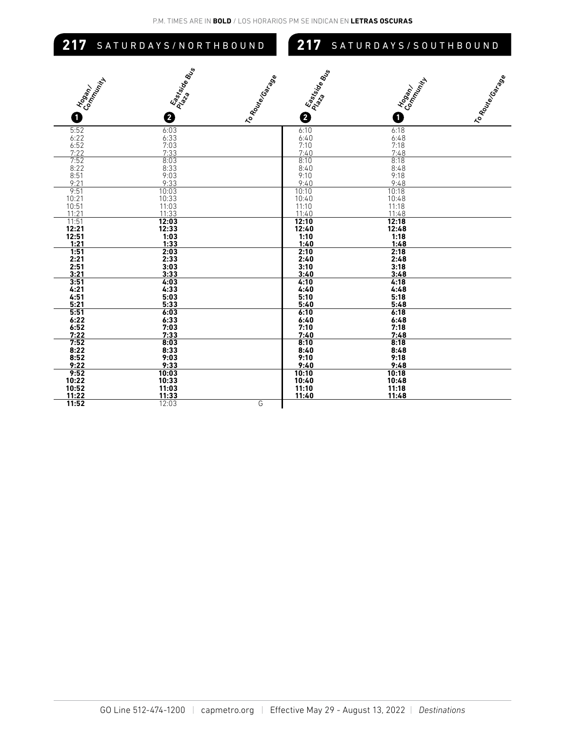# **217** SATURDAYS/NORTHBOUND

#### **217** SATURDAYS/SOUTHBOUND

| Hogan/<br>Connell Mill                                                              | Easterda<br>Pasterda<br>Ma | I to Route Goalage | I Eastside Bus   | Consent Village                | I to Route Gorgo |
|-------------------------------------------------------------------------------------|----------------------------|--------------------|------------------|--------------------------------|------------------|
|                                                                                     |                            |                    |                  |                                |                  |
| 0                                                                                   | ❷                          |                    | 0                | O                              |                  |
| 5:52                                                                                | 6:03                       |                    | 6:10             | 6:18                           |                  |
|                                                                                     |                            |                    | 6:40             |                                |                  |
| $\begin{array}{r} 6:22 \\ 6:52 \\ \underline{7:22} \\ \underline{7:52} \end{array}$ | $6:33$<br>$7:03$<br>$7:33$ |                    | $7:10$<br>$7:40$ | $6:48$<br>7:18<br>7:48<br>8:18 |                  |
|                                                                                     |                            |                    | 8:10             |                                |                  |
| 8:22                                                                                | $\frac{8:03}{8:33}$        |                    | 8:40             | 8:48                           |                  |
| 8:51                                                                                | 9:03                       |                    | 9:10             | 9:18                           |                  |
| 9:21                                                                                | 9:33                       |                    | 9:40             | 9:48                           |                  |
| 9:51                                                                                | 10:03                      |                    | 10:10            | 10:18                          |                  |
| 10:21                                                                               | 10:33                      |                    | 10:40            | 10:48                          |                  |
| $\frac{10:51}{11:21}$                                                               | $11:03$<br>$11:33$         |                    | 11:10<br>11:40   | $11:18$<br>$11:48$             |                  |
| 11:51                                                                               | 12:03                      |                    | 12:10            | 12:18                          |                  |
| 12:21                                                                               | 12:33                      |                    | 12:40            | 12:48                          |                  |
| 12:51                                                                               | 1:03                       |                    | 1:10             | 1:18                           |                  |
| 1:21                                                                                | 1:33                       |                    | 1:40             | 1:48                           |                  |
| 1:51                                                                                | 2:03                       |                    | 2:10             | 2:18                           |                  |
| 2:21                                                                                | 2:33                       |                    | 2:40             | 2:48                           |                  |
| 2:51                                                                                | 3:03                       |                    | 3:10             | 3:18                           |                  |
| 3:21                                                                                | 3:33                       |                    | 3:40             | 3:48                           |                  |
| 3:51                                                                                | 4:03                       |                    | 4:10             | 4:18                           |                  |
| 4:21<br>4:51                                                                        | 4:33<br>5:03               |                    | 4:40<br>5:10     | 4:48<br>5:18                   |                  |
| 5:21                                                                                | 5:33                       |                    | 5:40             | 5:48                           |                  |
| 5:51                                                                                | 6:03                       |                    | 6:10             | 6:18                           |                  |
| 6:22                                                                                | 6:33                       |                    | 6:40             | 6:48                           |                  |
| $6:52$<br>$7:22$                                                                    |                            |                    | 7:10             | 7:18                           |                  |
|                                                                                     | $7:03$<br>$7:33$           |                    | 7:40             | 7:48                           |                  |
| 7.52                                                                                | 8:03                       |                    | 8:10             | 8:18                           |                  |
| $8:22$<br>$8:52$                                                                    | 8:33                       |                    | 8:40             | 8:48                           |                  |
|                                                                                     | 9:03                       |                    | 9:10             | 9:18                           |                  |
| 9:22                                                                                | 9:33                       |                    | 9:40             | 9:48                           |                  |
| $\frac{9:52}{10:22}$                                                                | 10:03                      |                    | 10:10            | 10:18                          |                  |
|                                                                                     | 10:33                      |                    | 10:40            | 10:48                          |                  |
| 10:52<br>11:22                                                                      | 11:03                      |                    | 11:10<br>11:40   | 11:18<br>11:48                 |                  |
| 11:52                                                                               | 11:33<br>12:03             | G                  |                  |                                |                  |
|                                                                                     |                            |                    |                  |                                |                  |